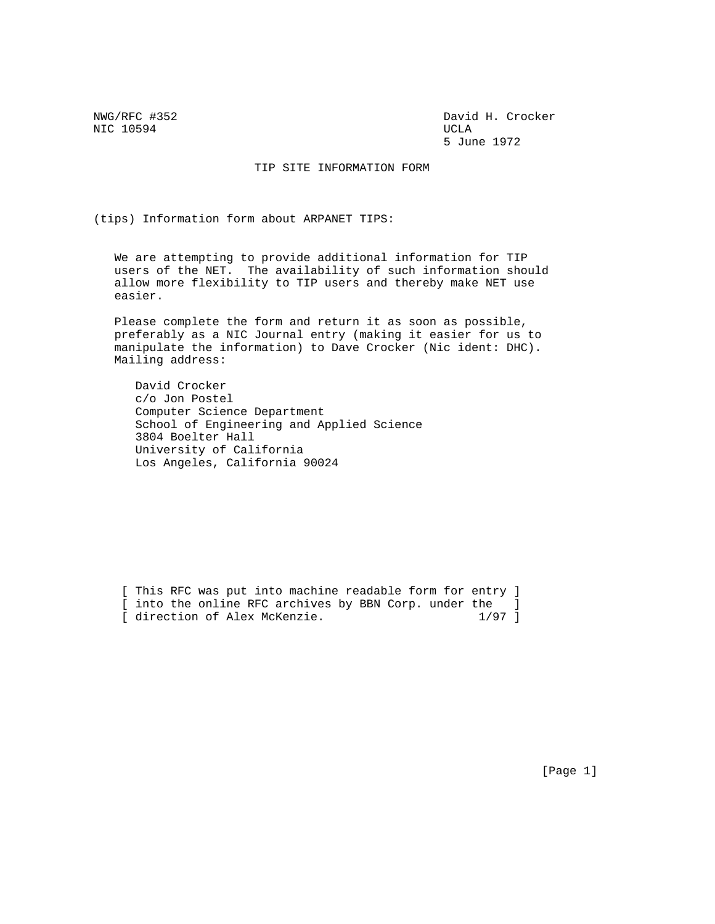NIC 10594 UCLA

NWG/RFC #352 David H. Crocker 5 June 1972

TIP SITE INFORMATION FORM

(tips) Information form about ARPANET TIPS:

 We are attempting to provide additional information for TIP users of the NET. The availability of such information should allow more flexibility to TIP users and thereby make NET use easier.

 Please complete the form and return it as soon as possible, preferably as a NIC Journal entry (making it easier for us to manipulate the information) to Dave Crocker (Nic ident: DHC). Mailing address:

 David Crocker c/o Jon Postel Computer Science Department School of Engineering and Applied Science 3804 Boelter Hall University of California Los Angeles, California 90024

[ This RFC was put into machine readable form for entry ] [ into the online RFC archives by BBN Corp. under the ]<br>[ direction of Alex McKenzie. 1/97 ] [ direction of Alex McKenzie.

[Page 1]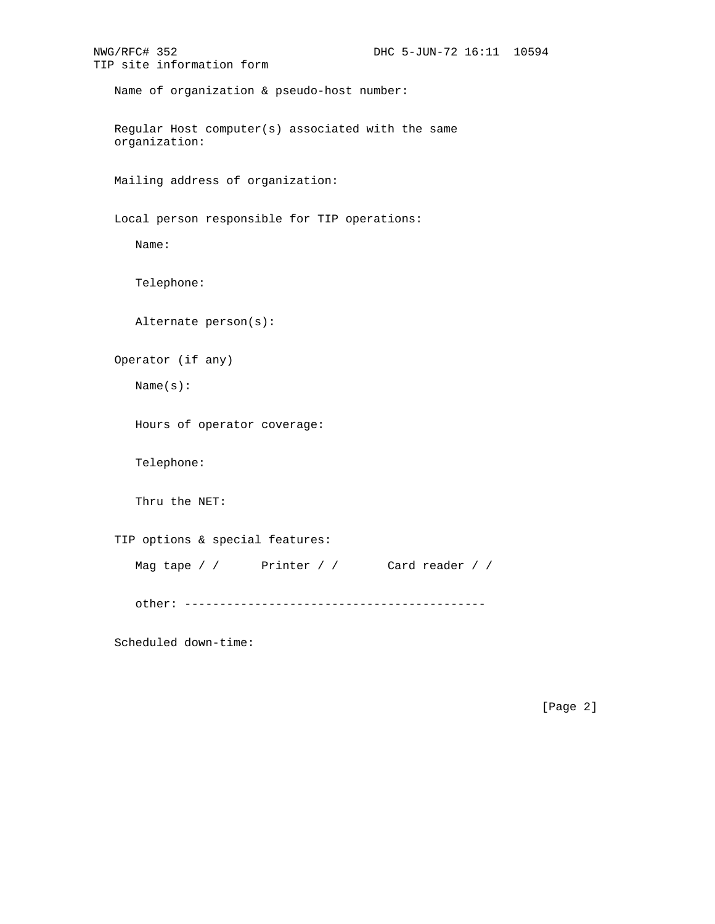```
NWG/RFC# 352 DHC 5-JUN-72 16:11 10594
TIP site information form
   Name of organization & pseudo-host number:
   Regular Host computer(s) associated with the same
   organization:
   Mailing address of organization:
   Local person responsible for TIP operations:
      Name:
      Telephone:
      Alternate person(s):
    Operator (if any)
      Name(s):
      Hours of operator coverage:
      Telephone:
      Thru the NET:
    TIP options & special features:
     Mag tape / / Printer / / Card reader / /
      other: -------------------------------------------
    Scheduled down-time:
```
[Page 2]